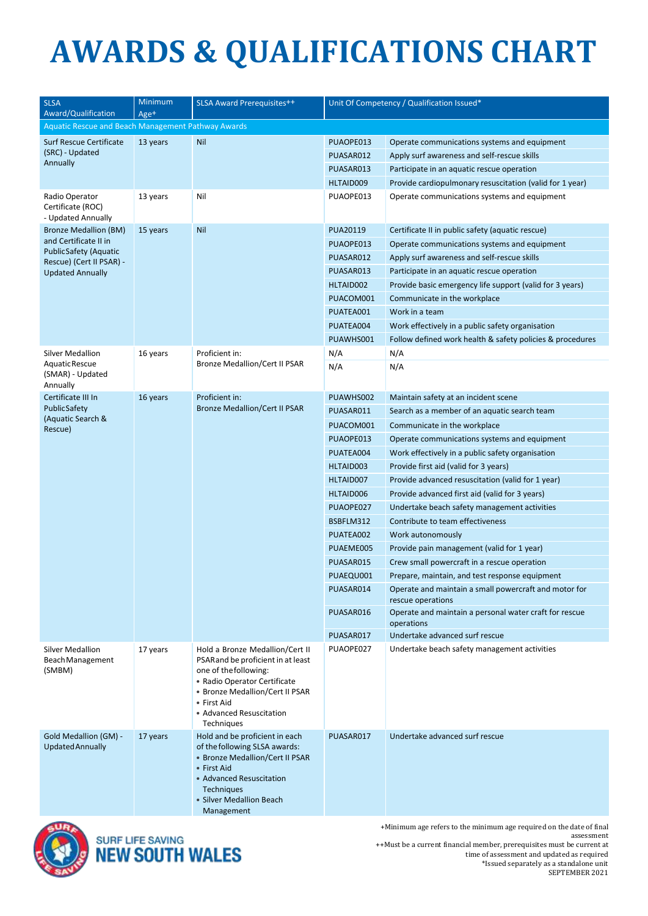## **AWARDS & QUALIFICATIONS CHART**

| <b>SLSA</b><br>Award/Qualification                        | Minimum<br>Age+ | <b>SLSA Award Prerequisites++</b>                                                                                                                                                                                         | Unit Of Competency / Qualification Issued* |                                                                            |  |  |  |  |  |
|-----------------------------------------------------------|-----------------|---------------------------------------------------------------------------------------------------------------------------------------------------------------------------------------------------------------------------|--------------------------------------------|----------------------------------------------------------------------------|--|--|--|--|--|
| Aquatic Rescue and Beach Management Pathway Awards        |                 |                                                                                                                                                                                                                           |                                            |                                                                            |  |  |  |  |  |
| Surf Rescue Certificate<br>(SRC) - Updated                | 13 years        | Nil                                                                                                                                                                                                                       | PUAOPE013                                  | Operate communications systems and equipment                               |  |  |  |  |  |
| Annually                                                  |                 |                                                                                                                                                                                                                           | PUASAR012                                  | Apply surf awareness and self-rescue skills                                |  |  |  |  |  |
|                                                           |                 |                                                                                                                                                                                                                           | PUASAR013                                  | Participate in an aquatic rescue operation                                 |  |  |  |  |  |
|                                                           |                 |                                                                                                                                                                                                                           | HLTAID009                                  | Provide cardiopulmonary resuscitation (valid for 1 year)                   |  |  |  |  |  |
| Radio Operator<br>Certificate (ROC)<br>- Updated Annually | 13 years        | Nil                                                                                                                                                                                                                       | PUAOPE013                                  | Operate communications systems and equipment                               |  |  |  |  |  |
| <b>Bronze Medallion (BM)</b>                              | 15 years        | Nil                                                                                                                                                                                                                       | PUA20119                                   | Certificate II in public safety (aquatic rescue)                           |  |  |  |  |  |
| and Certificate II in<br>Public Safety (Aquatic           |                 |                                                                                                                                                                                                                           | PUAOPE013                                  | Operate communications systems and equipment                               |  |  |  |  |  |
| Rescue) (Cert II PSAR) -                                  |                 |                                                                                                                                                                                                                           | PUASAR012                                  | Apply surf awareness and self-rescue skills                                |  |  |  |  |  |
| <b>Updated Annually</b>                                   |                 |                                                                                                                                                                                                                           | PUASAR013                                  | Participate in an aquatic rescue operation                                 |  |  |  |  |  |
|                                                           |                 |                                                                                                                                                                                                                           | HLTAID002                                  | Provide basic emergency life support (valid for 3 years)                   |  |  |  |  |  |
|                                                           |                 |                                                                                                                                                                                                                           | PUACOM001                                  | Communicate in the workplace                                               |  |  |  |  |  |
|                                                           |                 |                                                                                                                                                                                                                           | PUATEA001                                  | Work in a team                                                             |  |  |  |  |  |
|                                                           |                 |                                                                                                                                                                                                                           | PUATEA004                                  | Work effectively in a public safety organisation                           |  |  |  |  |  |
|                                                           |                 |                                                                                                                                                                                                                           | PUAWHS001                                  | Follow defined work health & safety policies & procedures                  |  |  |  |  |  |
| <b>Silver Medallion</b>                                   | 16 years        | Proficient in:<br><b>Bronze Medallion/Cert II PSAR</b>                                                                                                                                                                    | N/A                                        | N/A                                                                        |  |  |  |  |  |
| Aquatic Rescue<br>(SMAR) - Updated<br>Annually            |                 |                                                                                                                                                                                                                           | N/A                                        | N/A                                                                        |  |  |  |  |  |
| Certificate III In                                        | 16 years        | Proficient in:                                                                                                                                                                                                            | PUAWHS002                                  | Maintain safety at an incident scene                                       |  |  |  |  |  |
| <b>PublicSafety</b>                                       |                 | <b>Bronze Medallion/Cert II PSAR</b>                                                                                                                                                                                      | PUASAR011                                  | Search as a member of an aquatic search team                               |  |  |  |  |  |
| (Aquatic Search &<br>Rescue)                              |                 |                                                                                                                                                                                                                           | PUACOM001                                  | Communicate in the workplace                                               |  |  |  |  |  |
|                                                           |                 |                                                                                                                                                                                                                           | PUAOPE013                                  | Operate communications systems and equipment                               |  |  |  |  |  |
|                                                           |                 |                                                                                                                                                                                                                           | PUATEA004                                  | Work effectively in a public safety organisation                           |  |  |  |  |  |
|                                                           |                 |                                                                                                                                                                                                                           | HLTAID003                                  | Provide first aid (valid for 3 years)                                      |  |  |  |  |  |
|                                                           |                 |                                                                                                                                                                                                                           | HLTAID007                                  | Provide advanced resuscitation (valid for 1 year)                          |  |  |  |  |  |
|                                                           |                 |                                                                                                                                                                                                                           | HLTAID006                                  | Provide advanced first aid (valid for 3 years)                             |  |  |  |  |  |
|                                                           |                 |                                                                                                                                                                                                                           | PUAOPE027                                  | Undertake beach safety management activities                               |  |  |  |  |  |
|                                                           |                 |                                                                                                                                                                                                                           | BSBFLM312                                  | Contribute to team effectiveness                                           |  |  |  |  |  |
|                                                           |                 |                                                                                                                                                                                                                           | PUATEA002                                  | Work autonomously                                                          |  |  |  |  |  |
|                                                           |                 |                                                                                                                                                                                                                           | PUAEME005                                  | Provide pain management (valid for 1 year)                                 |  |  |  |  |  |
|                                                           |                 |                                                                                                                                                                                                                           | PUASAR015                                  | Crew small powercraft in a rescue operation                                |  |  |  |  |  |
|                                                           |                 |                                                                                                                                                                                                                           | PUAEQU001                                  | Prepare, maintain, and test response equipment                             |  |  |  |  |  |
|                                                           |                 |                                                                                                                                                                                                                           | PUASAR014                                  | Operate and maintain a small powercraft and motor for<br>rescue operations |  |  |  |  |  |
|                                                           |                 |                                                                                                                                                                                                                           | PUASAR016                                  | Operate and maintain a personal water craft for rescue<br>operations       |  |  |  |  |  |
|                                                           |                 |                                                                                                                                                                                                                           | PUASAR017                                  | Undertake advanced surf rescue                                             |  |  |  |  |  |
| <b>Silver Medallion</b><br>Beach Management<br>(SMBM)     | 17 years        | Hold a Bronze Medallion/Cert II<br>PSARand be proficient in at least<br>one of the following:<br>• Radio Operator Certificate<br>• Bronze Medallion/Cert II PSAR<br>• First Aid<br>• Advanced Resuscitation<br>Techniques | PUAOPE027                                  | Undertake beach safety management activities                               |  |  |  |  |  |
| Gold Medallion (GM) -<br><b>Updated Annually</b>          | 17 years        | Hold and be proficient in each<br>of the following SLSA awards:<br>• Bronze Medallion/Cert II PSAR<br>• First Aid<br>• Advanced Resuscitation<br><b>Techniques</b><br>• Silver Medallion Beach<br>Management              | PUASAR017                                  | Undertake advanced surf rescue                                             |  |  |  |  |  |



SURF LIFE SAVING<br>**NEW SOUTH WALES** 

+Minimum age refers to the minimum age required on the date of final assessment ++Must be a current financial member, prerequisites must be current at time of assessment and updated as required \*Issued separately as a standalone unit SEPTEMBER 2021